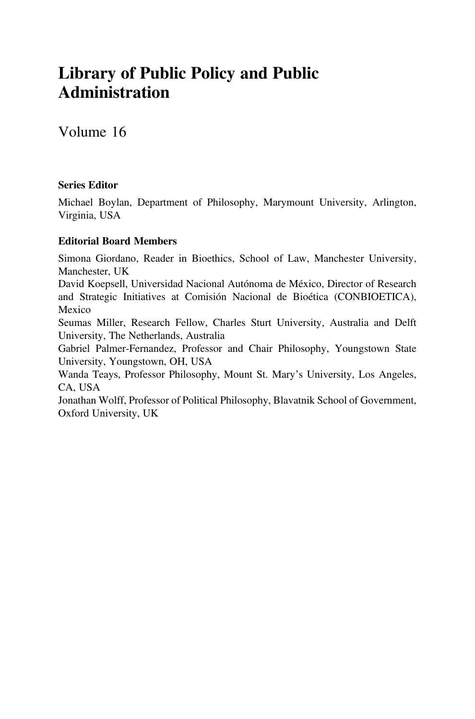# Library of Public Policy and Public Administration

Volume 16

#### Series Editor

Michael Boylan, Department of Philosophy, Marymount University, Arlington, Virginia, USA

#### Editorial Board Members

Simona Giordano, Reader in Bioethics, School of Law, Manchester University, Manchester, UK David Koepsell, Universidad Nacional Autónoma de México, Director of Research and Strategic Initiatives at Comisión Nacional de Bioética (CONBIOETICA), Mexico

Seumas Miller, Research Fellow, Charles Sturt University, Australia and Delft University, The Netherlands, Australia

Gabriel Palmer-Fernandez, Professor and Chair Philosophy, Youngstown State University, Youngstown, OH, USA

Wanda Teays, Professor Philosophy, Mount St. Mary's University, Los Angeles, CA, USA

Jonathan Wolff, Professor of Political Philosophy, Blavatnik School of Government, Oxford University, UK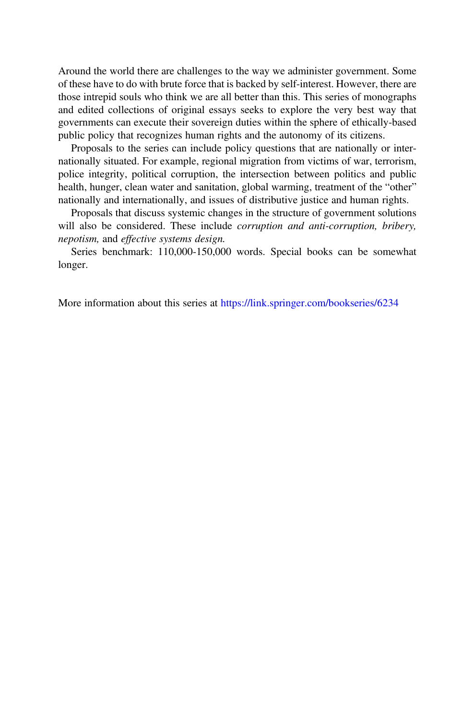Around the world there are challenges to the way we administer government. Some of these have to do with brute force that is backed by self-interest. However, there are those intrepid souls who think we are all better than this. This series of monographs and edited collections of original essays seeks to explore the very best way that governments can execute their sovereign duties within the sphere of ethically-based public policy that recognizes human rights and the autonomy of its citizens.

Proposals to the series can include policy questions that are nationally or internationally situated. For example, regional migration from victims of war, terrorism, police integrity, political corruption, the intersection between politics and public health, hunger, clean water and sanitation, global warming, treatment of the "other" nationally and internationally, and issues of distributive justice and human rights.

Proposals that discuss systemic changes in the structure of government solutions will also be considered. These include *corruption and anti-corruption*, *bribery*, nepotism, and effective systems design.

Series benchmark: 110,000-150,000 words. Special books can be somewhat longer.

More information about this series at <https://link.springer.com/bookseries/6234>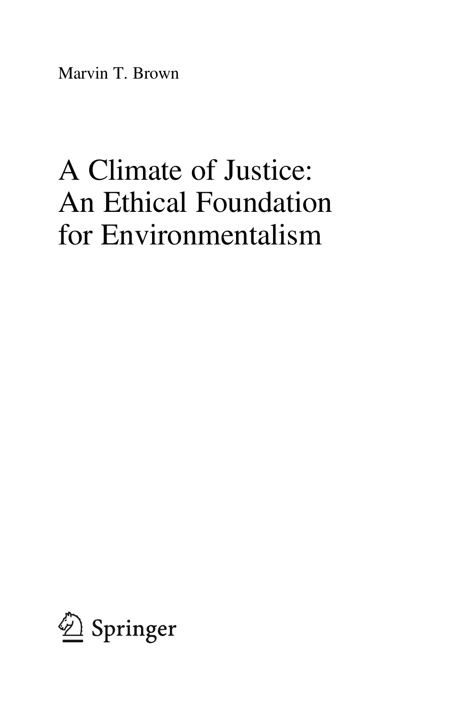Marvin T. Brown

# A Climate of Justice: An Ethical Foundation for Environmentalism

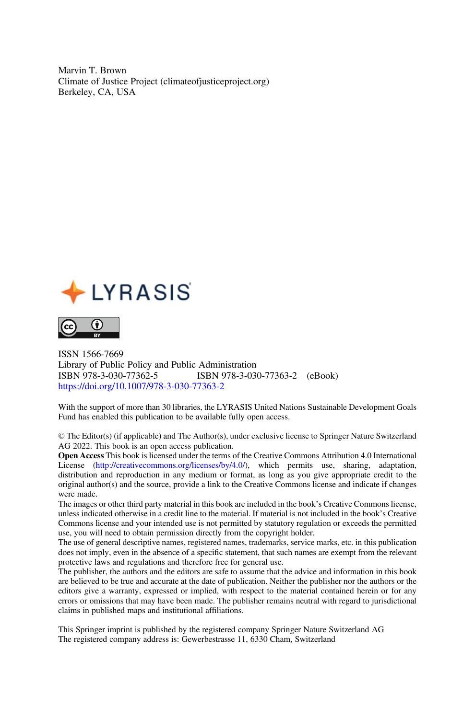Marvin T. Brown Climate of Justice Project (climateofjusticeproject.org) Berkeley, CA, USA





ISSN 1566-7669 Library of Public Policy and Public Administration<br>ISBN 978-3-030-77362-5<br>ISBN 978-3-030 ISBN 978-3-030-77363-2 (eBook) <https://doi.org/10.1007/978-3-030-77363-2>

With the support of more than 30 libraries, the LYRASIS United Nations Sustainable Development Goals Fund has enabled this publication to be available fully open access.

© The Editor(s) (if applicable) and The Author(s), under exclusive license to Springer Nature Switzerland AG 2022. This book is an open access publication.

Open Access This book is licensed under the terms of the Creative Commons Attribution 4.0 International License ([http://creativecommons.org/licenses/by/4.0/\)](http://creativecommons.org/licenses/by/4.0/), which permits use, sharing, adaptation, distribution and reproduction in any medium or format, as long as you give appropriate credit to the original author(s) and the source, provide a link to the Creative Commons license and indicate if changes were made.

The images or other third party material in this book are included in the book's Creative Commons license, unless indicated otherwise in a credit line to the material. If material is not included in the book's Creative Commons license and your intended use is not permitted by statutory regulation or exceeds the permitted use, you will need to obtain permission directly from the copyright holder.

The use of general descriptive names, registered names, trademarks, service marks, etc. in this publication does not imply, even in the absence of a specific statement, that such names are exempt from the relevant protective laws and regulations and therefore free for general use.

The publisher, the authors and the editors are safe to assume that the advice and information in this book are believed to be true and accurate at the date of publication. Neither the publisher nor the authors or the editors give a warranty, expressed or implied, with respect to the material contained herein or for any errors or omissions that may have been made. The publisher remains neutral with regard to jurisdictional claims in published maps and institutional affiliations.

This Springer imprint is published by the registered company Springer Nature Switzerland AG The registered company address is: Gewerbestrasse 11, 6330 Cham, Switzerland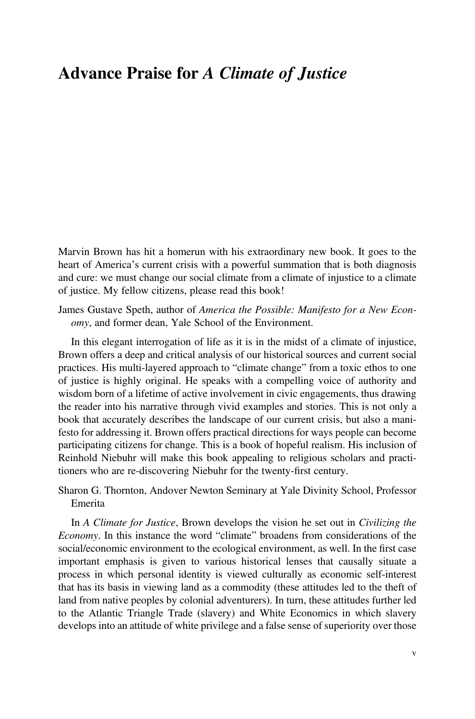## Advance Praise for A Climate of Justice

Marvin Brown has hit a homerun with his extraordinary new book. It goes to the heart of America's current crisis with a powerful summation that is both diagnosis and cure: we must change our social climate from a climate of injustice to a climate of justice. My fellow citizens, please read this book!

James Gustave Speth, author of America the Possible: Manifesto for a New Economy, and former dean, Yale School of the Environment.

In this elegant interrogation of life as it is in the midst of a climate of injustice, Brown offers a deep and critical analysis of our historical sources and current social practices. His multi-layered approach to "climate change" from a toxic ethos to one of justice is highly original. He speaks with a compelling voice of authority and wisdom born of a lifetime of active involvement in civic engagements, thus drawing the reader into his narrative through vivid examples and stories. This is not only a book that accurately describes the landscape of our current crisis, but also a manifesto for addressing it. Brown offers practical directions for ways people can become participating citizens for change. This is a book of hopeful realism. His inclusion of Reinhold Niebuhr will make this book appealing to religious scholars and practitioners who are re-discovering Niebuhr for the twenty-first century.

Sharon G. Thornton, Andover Newton Seminary at Yale Divinity School, Professor Emerita

In A Climate for Justice, Brown develops the vision he set out in Civilizing the Economy. In this instance the word "climate" broadens from considerations of the social/economic environment to the ecological environment, as well. In the first case important emphasis is given to various historical lenses that causally situate a process in which personal identity is viewed culturally as economic self-interest that has its basis in viewing land as a commodity (these attitudes led to the theft of land from native peoples by colonial adventurers). In turn, these attitudes further led to the Atlantic Triangle Trade (slavery) and White Economics in which slavery develops into an attitude of white privilege and a false sense of superiority over those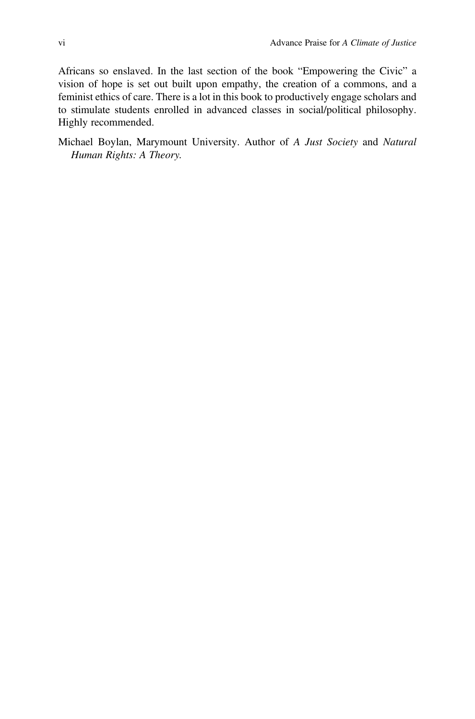Africans so enslaved. In the last section of the book "Empowering the Civic" a vision of hope is set out built upon empathy, the creation of a commons, and a feminist ethics of care. There is a lot in this book to productively engage scholars and to stimulate students enrolled in advanced classes in social/political philosophy. Highly recommended.

Michael Boylan, Marymount University. Author of A Just Society and Natural Human Rights: A Theory.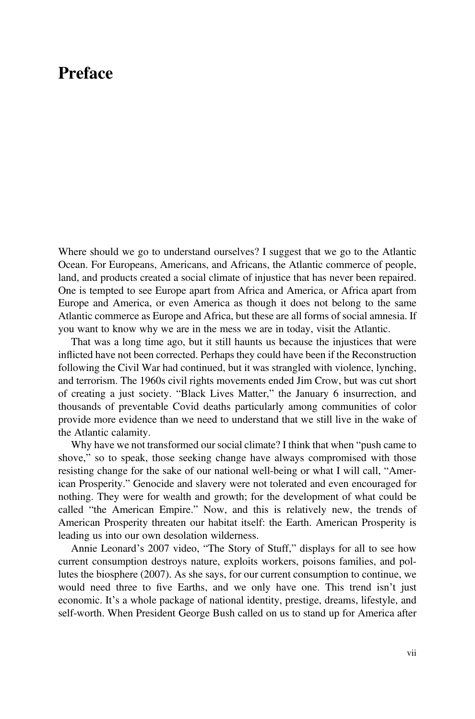## Preface

Where should we go to understand ourselves? I suggest that we go to the Atlantic Ocean. For Europeans, Americans, and Africans, the Atlantic commerce of people, land, and products created a social climate of injustice that has never been repaired. One is tempted to see Europe apart from Africa and America, or Africa apart from Europe and America, or even America as though it does not belong to the same Atlantic commerce as Europe and Africa, but these are all forms of social amnesia. If you want to know why we are in the mess we are in today, visit the Atlantic.

That was a long time ago, but it still haunts us because the injustices that were inflicted have not been corrected. Perhaps they could have been if the Reconstruction following the Civil War had continued, but it was strangled with violence, lynching, and terrorism. The 1960s civil rights movements ended Jim Crow, but was cut short of creating a just society. "Black Lives Matter," the January 6 insurrection, and thousands of preventable Covid deaths particularly among communities of color provide more evidence than we need to understand that we still live in the wake of the Atlantic calamity.

Why have we not transformed our social climate? I think that when "push came to shove," so to speak, those seeking change have always compromised with those resisting change for the sake of our national well-being or what I will call, "American Prosperity." Genocide and slavery were not tolerated and even encouraged for nothing. They were for wealth and growth; for the development of what could be called "the American Empire." Now, and this is relatively new, the trends of American Prosperity threaten our habitat itself: the Earth. American Prosperity is leading us into our own desolation wilderness.

Annie Leonard's 2007 video, "The Story of Stuff," displays for all to see how current consumption destroys nature, exploits workers, poisons families, and pollutes the biosphere (2007). As she says, for our current consumption to continue, we would need three to five Earths, and we only have one. This trend isn't just economic. It's a whole package of national identity, prestige, dreams, lifestyle, and self-worth. When President George Bush called on us to stand up for America after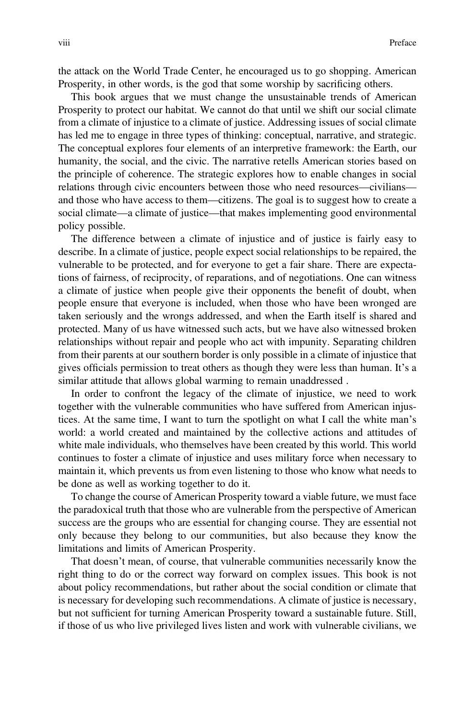the attack on the World Trade Center, he encouraged us to go shopping. American Prosperity, in other words, is the god that some worship by sacrificing others.

This book argues that we must change the unsustainable trends of American Prosperity to protect our habitat. We cannot do that until we shift our social climate from a climate of injustice to a climate of justice. Addressing issues of social climate has led me to engage in three types of thinking: conceptual, narrative, and strategic. The conceptual explores four elements of an interpretive framework: the Earth, our humanity, the social, and the civic. The narrative retells American stories based on the principle of coherence. The strategic explores how to enable changes in social relations through civic encounters between those who need resources—civilians and those who have access to them—citizens. The goal is to suggest how to create a social climate—a climate of justice—that makes implementing good environmental policy possible.

The difference between a climate of injustice and of justice is fairly easy to describe. In a climate of justice, people expect social relationships to be repaired, the vulnerable to be protected, and for everyone to get a fair share. There are expectations of fairness, of reciprocity, of reparations, and of negotiations. One can witness a climate of justice when people give their opponents the benefit of doubt, when people ensure that everyone is included, when those who have been wronged are taken seriously and the wrongs addressed, and when the Earth itself is shared and protected. Many of us have witnessed such acts, but we have also witnessed broken relationships without repair and people who act with impunity. Separating children from their parents at our southern border is only possible in a climate of injustice that gives officials permission to treat others as though they were less than human. It's a similar attitude that allows global warming to remain unaddressed .

In order to confront the legacy of the climate of injustice, we need to work together with the vulnerable communities who have suffered from American injustices. At the same time, I want to turn the spotlight on what I call the white man's world: a world created and maintained by the collective actions and attitudes of white male individuals, who themselves have been created by this world. This world continues to foster a climate of injustice and uses military force when necessary to maintain it, which prevents us from even listening to those who know what needs to be done as well as working together to do it.

To change the course of American Prosperity toward a viable future, we must face the paradoxical truth that those who are vulnerable from the perspective of American success are the groups who are essential for changing course. They are essential not only because they belong to our communities, but also because they know the limitations and limits of American Prosperity.

That doesn't mean, of course, that vulnerable communities necessarily know the right thing to do or the correct way forward on complex issues. This book is not about policy recommendations, but rather about the social condition or climate that is necessary for developing such recommendations. A climate of justice is necessary, but not sufficient for turning American Prosperity toward a sustainable future. Still, if those of us who live privileged lives listen and work with vulnerable civilians, we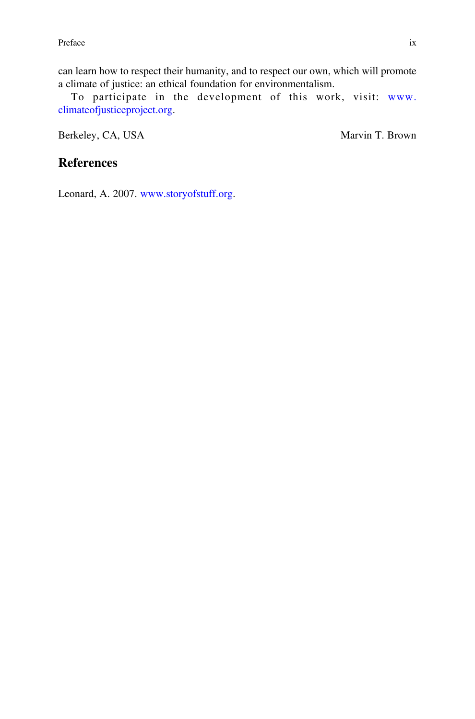Preface is a set of the contract of the contract of the contract of the contract of the contract of the contract of the contract of the contract of the contract of the contract of the contract of the contract of the contra

can learn how to respect their humanity, and to respect our own, which will promote a climate of justice: an ethical foundation for environmentalism.

To participate in the development of this work, visit: [www.](http://www.climateofjusticeproject.org) [climateofjusticeproject.org.](http://www.climateofjusticeproject.org)

Berkeley, CA, USA Marvin T. Brown

#### References

Leonard, A. 2007. [www.storyofstuff.org](http://www.storyofstuff.org).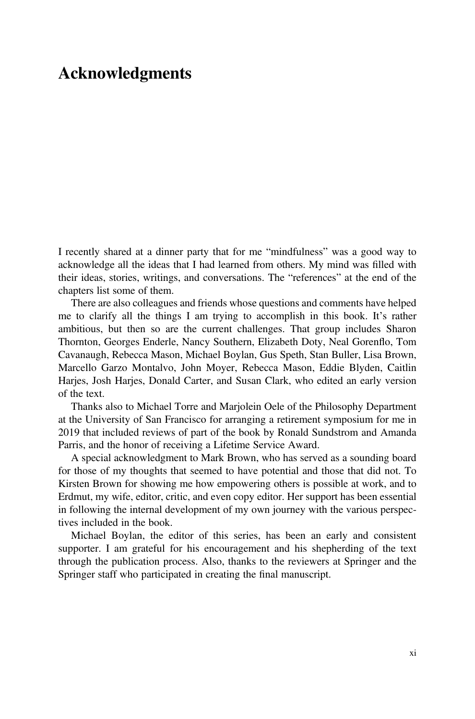## Acknowledgments

I recently shared at a dinner party that for me "mindfulness" was a good way to acknowledge all the ideas that I had learned from others. My mind was filled with their ideas, stories, writings, and conversations. The "references" at the end of the chapters list some of them.

There are also colleagues and friends whose questions and comments have helped me to clarify all the things I am trying to accomplish in this book. It's rather ambitious, but then so are the current challenges. That group includes Sharon Thornton, Georges Enderle, Nancy Southern, Elizabeth Doty, Neal Gorenflo, Tom Cavanaugh, Rebecca Mason, Michael Boylan, Gus Speth, Stan Buller, Lisa Brown, Marcello Garzo Montalvo, John Moyer, Rebecca Mason, Eddie Blyden, Caitlin Harjes, Josh Harjes, Donald Carter, and Susan Clark, who edited an early version of the text.

Thanks also to Michael Torre and Marjolein Oele of the Philosophy Department at the University of San Francisco for arranging a retirement symposium for me in 2019 that included reviews of part of the book by Ronald Sundstrom and Amanda Parris, and the honor of receiving a Lifetime Service Award.

A special acknowledgment to Mark Brown, who has served as a sounding board for those of my thoughts that seemed to have potential and those that did not. To Kirsten Brown for showing me how empowering others is possible at work, and to Erdmut, my wife, editor, critic, and even copy editor. Her support has been essential in following the internal development of my own journey with the various perspectives included in the book.

Michael Boylan, the editor of this series, has been an early and consistent supporter. I am grateful for his encouragement and his shepherding of the text through the publication process. Also, thanks to the reviewers at Springer and the Springer staff who participated in creating the final manuscript.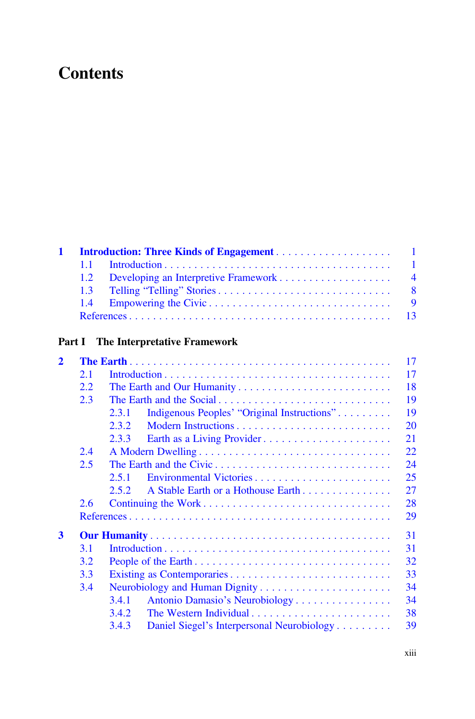# **Contents**

#### Part I The Interpretative Framework

| $\mathbf{2}$ |     |                                                      | 17 |  |  |
|--------------|-----|------------------------------------------------------|----|--|--|
|              | 2.1 |                                                      | 17 |  |  |
|              | 2.2 |                                                      | 18 |  |  |
|              | 2.3 |                                                      | 19 |  |  |
|              |     | Indigenous Peoples' "Original Instructions"<br>2.3.1 | 19 |  |  |
|              |     | 2.3.2                                                | 20 |  |  |
|              |     | 2.3.3<br>Earth as a Living Provider                  | 21 |  |  |
|              | 2.4 |                                                      | 22 |  |  |
|              | 2.5 |                                                      | 24 |  |  |
|              |     | 2.5.1                                                | 25 |  |  |
|              |     | A Stable Earth or a Hothouse Earth<br>2.5.2          | 27 |  |  |
|              | 2.6 |                                                      | 28 |  |  |
|              |     |                                                      | 29 |  |  |
| 3            | 31  |                                                      |    |  |  |
|              | 3.1 |                                                      | 31 |  |  |
|              | 3.2 |                                                      | 32 |  |  |
|              | 3.3 |                                                      | 33 |  |  |
|              | 3.4 |                                                      | 34 |  |  |
|              |     | Antonio Damasio's Neurobiology<br>3.4.1              | 34 |  |  |
|              |     | 3.4.2                                                | 38 |  |  |
|              |     | 3.4.3<br>Daniel Siegel's Interpersonal Neurobiology  | 39 |  |  |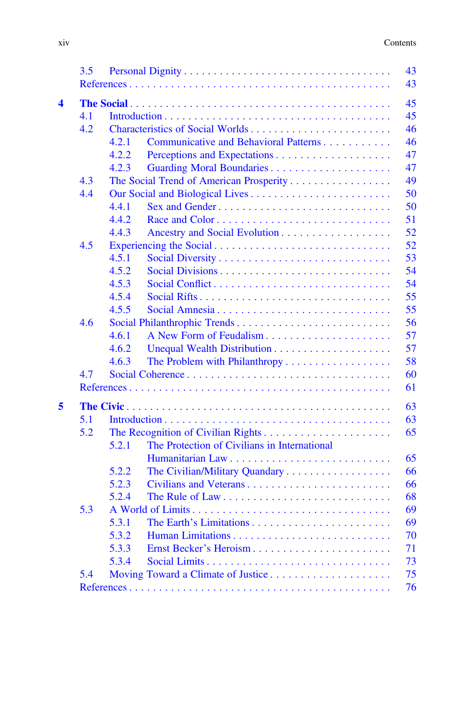|   | 3.5 |       |                                              | 43 |
|---|-----|-------|----------------------------------------------|----|
|   |     |       |                                              | 43 |
| 4 |     |       |                                              | 45 |
|   | 41  |       |                                              | 45 |
|   | 4.2 |       | Characteristics of Social Worlds             | 46 |
|   |     | 4.2.1 | Communicative and Behavioral Patterns        | 46 |
|   |     | 4.2.2 |                                              | 47 |
|   |     | 4.2.3 |                                              | 47 |
|   | 4.3 |       | The Social Trend of American Prosperity      | 49 |
|   | 4.4 |       |                                              | 50 |
|   |     | 4.4.1 | Sex and Gender                               | 50 |
|   |     | 4.4.2 | Race and Color                               | 51 |
|   |     | 4.4.3 |                                              | 52 |
|   | 4.5 |       |                                              | 52 |
|   |     | 4.5.1 |                                              | 53 |
|   |     | 4.5.2 |                                              | 54 |
|   |     | 4.5.3 |                                              | 54 |
|   |     | 4.5.4 |                                              | 55 |
|   |     | 4.5.5 | Social Amnesia                               | 55 |
|   | 4.6 |       |                                              | 56 |
|   |     | 4.6.1 | A New Form of Feudalism                      | 57 |
|   |     | 4.6.2 |                                              | 57 |
|   |     | 4.6.3 | The Problem with Philanthropy                | 58 |
|   | 4.7 |       |                                              | 60 |
|   |     |       |                                              | 61 |
|   |     |       |                                              |    |
| 5 |     |       |                                              | 63 |
|   | 5.1 |       |                                              | 63 |
|   | 5.2 |       |                                              | 65 |
|   |     | 5.2.1 | The Protection of Civilians in International |    |
|   |     |       |                                              | 65 |
|   |     | 5.2.2 | The Civilian/Military Quandary               | 66 |
|   |     | 5.2.3 |                                              | 66 |
|   |     | 5.2.4 |                                              | 68 |
|   | 5.3 |       | A World of Limits                            | 69 |
|   |     | 5.3.1 |                                              | 69 |
|   |     | 5.3.2 |                                              | 70 |
|   |     | 5.3.3 |                                              | 71 |
|   |     | 5.3.4 |                                              | 73 |
|   | 5.4 |       |                                              | 75 |
|   |     |       |                                              | 76 |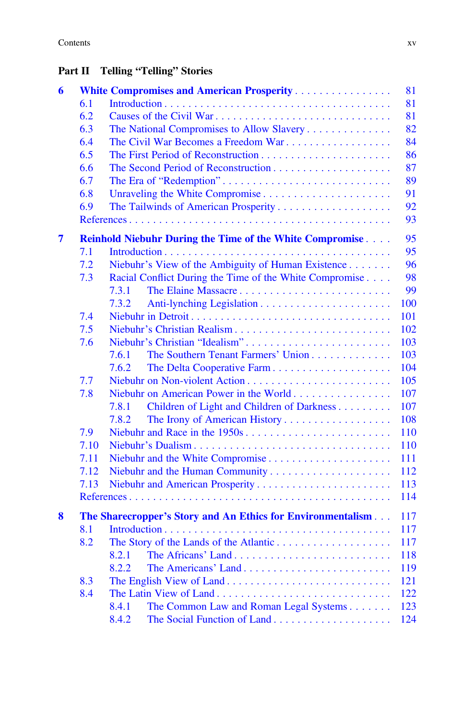#### Part II Telling "Telling" Stories

| 6 |      | White Compromises and American Prosperity                       | 81  |
|---|------|-----------------------------------------------------------------|-----|
|   | 6.1  |                                                                 | 81  |
|   | 6.2  |                                                                 | 81  |
|   | 6.3  | The National Compromises to Allow Slavery                       | 82  |
|   | 6.4  | The Civil War Becomes a Freedom War                             | 84  |
|   | 6.5  |                                                                 | 86  |
|   | 6.6  |                                                                 | 87  |
|   | 6.7  | The Era of "Redemption"                                         | 89  |
|   | 6.8  |                                                                 | 91  |
|   | 6.9  |                                                                 | 92  |
|   |      |                                                                 | 93  |
| 7 |      | <b>Reinhold Niebuhr During the Time of the White Compromise</b> | 95  |
|   | 7.1  |                                                                 | 95  |
|   | 7.2  | Niebuhr's View of the Ambiguity of Human Existence              | 96  |
|   | 7.3  | Racial Conflict During the Time of the White Compromise         | 98  |
|   |      | The Elaine Massacre<br>7.3.1                                    | 99  |
|   |      | 7.3.2                                                           | 100 |
|   | 7.4  |                                                                 | 101 |
|   | 7.5  | Niebuhr's Christian Realism                                     | 102 |
|   | 7.6  | Niebuhr's Christian "Idealism"                                  | 103 |
|   |      | The Southern Tenant Farmers' Union<br>7.6.1                     | 103 |
|   |      | The Delta Cooperative Farm<br>7.6.2                             | 104 |
|   | 7.7  |                                                                 | 105 |
|   | 7.8  | Niebuhr on American Power in the World                          | 107 |
|   |      | 7.8.1<br>Children of Light and Children of Darkness             | 107 |
|   |      | 7.8.2                                                           | 108 |
|   | 7.9  |                                                                 | 110 |
|   | 7.10 | Niebuhr's Dualism                                               | 110 |
|   | 7.11 |                                                                 | 111 |
|   | 7.12 |                                                                 | 112 |
|   | 7.13 |                                                                 | 113 |
|   |      |                                                                 | 114 |
| 8 |      | The Sharecropper's Story and An Ethics for Environmentalism     | 117 |
|   | 8.1  |                                                                 | 117 |
|   | 8.2  | The Story of the Lands of the Atlantic                          | 117 |
|   |      | 8.2.1                                                           | 118 |
|   |      | 8.2.2                                                           | 119 |
|   | 8.3  |                                                                 | 121 |
|   | 8.4  |                                                                 | 122 |
|   |      | The Common Law and Roman Legal Systems<br>8.4.1                 | 123 |
|   |      | 8.4.2                                                           | 124 |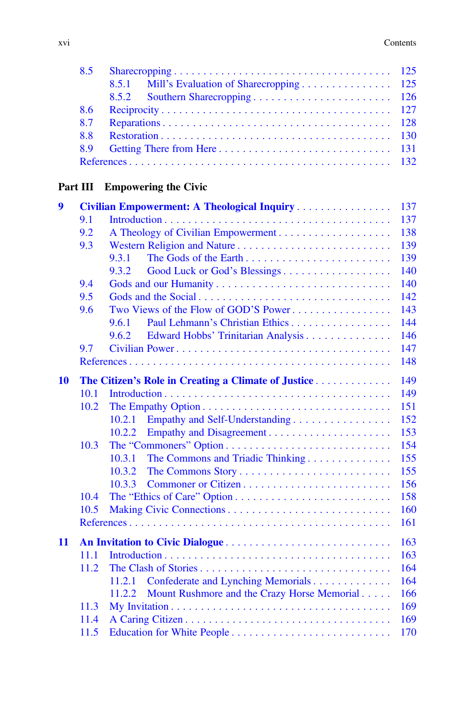| 8.5 |  |                                              |  |  |  |  |
|-----|--|----------------------------------------------|--|--|--|--|
|     |  | 8.5.1 Mill's Evaluation of Sharecropping 125 |  |  |  |  |
|     |  |                                              |  |  |  |  |
| 8.6 |  |                                              |  |  |  |  |
| 8.7 |  |                                              |  |  |  |  |
| 8.8 |  |                                              |  |  |  |  |
| 8.9 |  |                                              |  |  |  |  |
|     |  |                                              |  |  |  |  |

#### Part III Empowering the Civic

| 9  |      | Civilian Empowerment: A Theological Inquiry           | 137 |
|----|------|-------------------------------------------------------|-----|
|    | 9.1  |                                                       | 137 |
|    | 9.2  |                                                       | 138 |
|    | 9.3  |                                                       | 139 |
|    |      | 9.3.1                                                 | 139 |
|    |      | 9.3.2                                                 | 140 |
|    | 9.4  |                                                       | 140 |
|    | 9.5  |                                                       | 142 |
|    | 9.6  | Two Views of the Flow of GOD'S Power                  | 143 |
|    |      | Paul Lehmann's Christian Ethics<br>9.6.1              | 144 |
|    |      | 9.6.2<br>Edward Hobbs' Trinitarian Analysis           | 146 |
|    | 9.7  |                                                       | 147 |
|    |      |                                                       | 148 |
| 10 |      | The Citizen's Role in Creating a Climate of Justice   | 149 |
|    | 10.1 |                                                       | 149 |
|    | 10.2 |                                                       | 151 |
|    |      | Empathy and Self-Understanding<br>10.2.1              | 152 |
|    |      | 10.2.2                                                | 153 |
|    | 10.3 |                                                       | 154 |
|    |      | The Commons and Triadic Thinking<br>10.3.1            | 155 |
|    |      | 10.3.2<br>The Commons Story                           | 155 |
|    |      | 10.3.3                                                | 156 |
|    | 10.4 |                                                       | 158 |
|    | 10.5 |                                                       | 160 |
|    |      |                                                       | 161 |
| 11 |      |                                                       | 163 |
|    | 11.1 |                                                       | 163 |
|    | 11.2 |                                                       | 164 |
|    |      | Confederate and Lynching Memorials<br>11.2.1          | 164 |
|    |      | Mount Rushmore and the Crazy Horse Memorial<br>11.2.2 | 166 |
|    | 11.3 |                                                       | 169 |
|    | 11.4 |                                                       | 169 |
|    | 11.5 |                                                       | 170 |
|    |      |                                                       |     |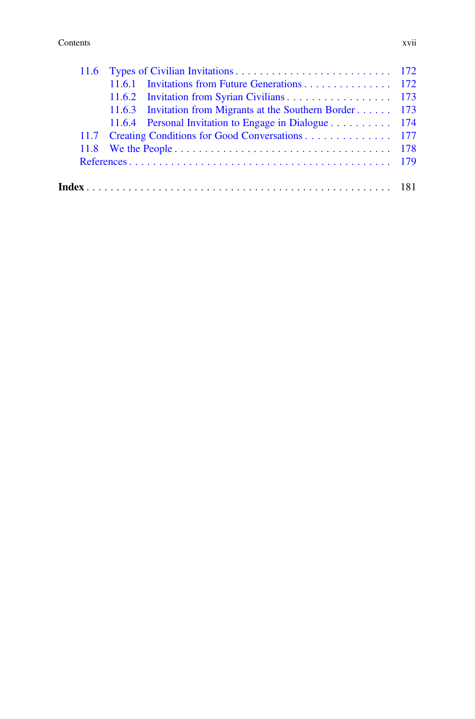#### **Contents** xvii

| 11.6.1 Invitations from Future Generations 172             |  |
|------------------------------------------------------------|--|
| 11.6.2 Invitation from Syrian Civilians 173                |  |
| 11.6.3 Invitation from Migrants at the Southern Border 173 |  |
| 11.6.4 Personal Invitation to Engage in Dialogue 174       |  |
| 11.7 Creating Conditions for Good Conversations 177        |  |
|                                                            |  |
|                                                            |  |
|                                                            |  |
|                                                            |  |